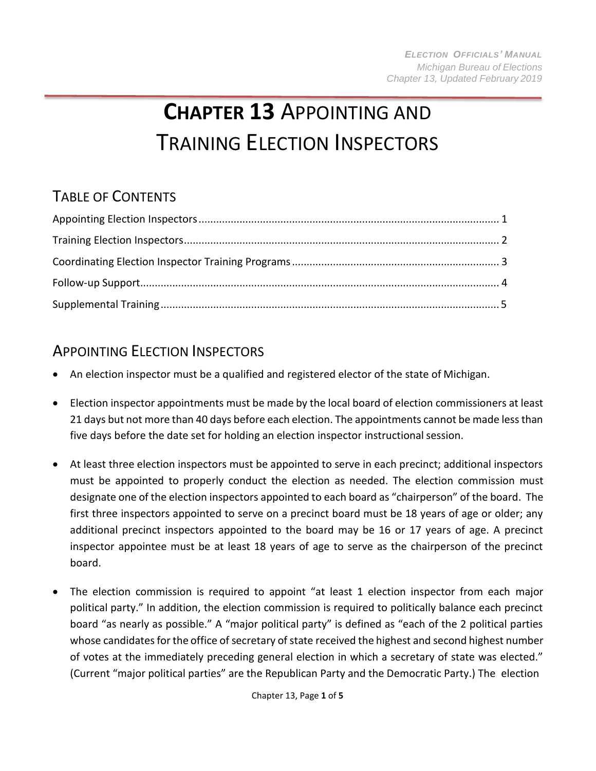# **CHAPTER 13** APPOINTING AND TRAINING ELECTION INSPECTORS

## TABLE OF CONTENTS

### <span id="page-0-0"></span>APPOINTING ELECTION INSPECTORS

- An election inspector must be a qualified and registered elector of the state of Michigan.
- Election inspector appointments must be made by the local board of election commissioners at least 21 days but not more than 40 days before each election. The appointments cannot be made less than five days before the date set for holding an election inspector instructional session.
- At least three election inspectors must be appointed to serve in each precinct; additional inspectors must be appointed to properly conduct the election as needed. The election commission must designate one of the election inspectors appointed to each board as "chairperson" of the board. The first three inspectors appointed to serve on a precinct board must be 18 years of age or older; any additional precinct inspectors appointed to the board may be 16 or 17 years of age. A precinct inspector appointee must be at least 18 years of age to serve as the chairperson of the precinct board.
- The election commission is required to appoint "at least 1 election inspector from each major political party." In addition, the election commission is required to politically balance each precinct board "as nearly as possible." A "major political party" is defined as "each of the 2 political parties whose candidates for the office of secretary of state received the highest and second highest number of votes at the immediately preceding general election in which a secretary of state was elected." (Current "major political parties" are the Republican Party and the Democratic Party.) The election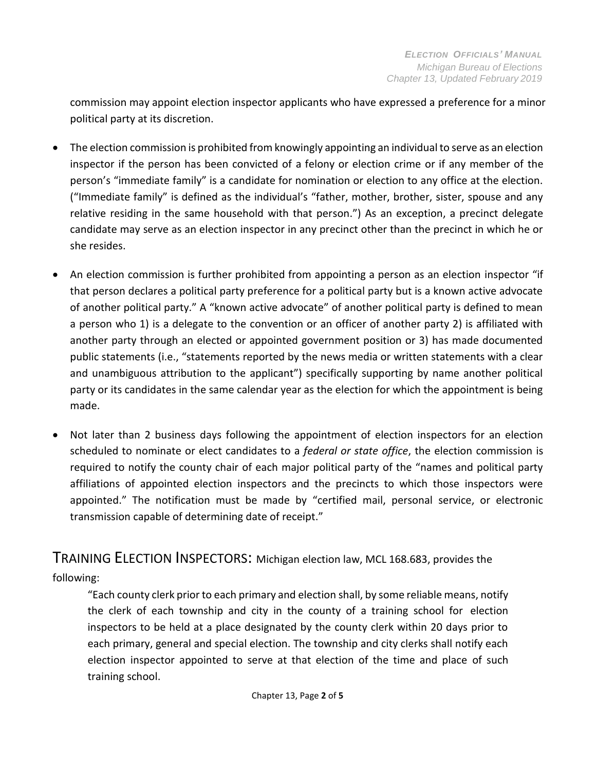commission may appoint election inspector applicants who have expressed a preference for a minor political party at its discretion.

- The election commission is prohibited from knowingly appointing an individual to serve as an election inspector if the person has been convicted of a felony or election crime or if any member of the person's "immediate family" is a candidate for nomination or election to any office at the election. ("Immediate family" is defined as the individual's "father, mother, brother, sister, spouse and any relative residing in the same household with that person.") As an exception, a precinct delegate candidate may serve as an election inspector in any precinct other than the precinct in which he or she resides.
- An election commission is further prohibited from appointing a person as an election inspector "if that person declares a political party preference for a political party but is a known active advocate of another political party." A "known active advocate" of another political party is defined to mean a person who 1) is a delegate to the convention or an officer of another party 2) is affiliated with another party through an elected or appointed government position or 3) has made documented public statements (i.e., "statements reported by the news media or written statements with a clear and unambiguous attribution to the applicant") specifically supporting by name another political party or its candidates in the same calendar year as the election for which the appointment is being made.
- Not later than 2 business days following the appointment of election inspectors for an election scheduled to nominate or elect candidates to a *federal or state office*, the election commission is required to notify the county chair of each major political party of the "names and political party affiliations of appointed election inspectors and the precincts to which those inspectors were appointed." The notification must be made by "certified mail, personal service, or electronic transmission capable of determining date of receipt."

#### <span id="page-1-0"></span>TRAINING ELECTION INSPECTORS: Michigan election law, MCL 168.683, provides the

following:

"Each county clerk prior to each primary and election shall, by some reliable means, notify the clerk of each township and city in the county of a training school for election inspectors to be held at a place designated by the county clerk within 20 days prior to each primary, general and special election. The township and city clerks shall notify each election inspector appointed to serve at that election of the time and place of such training school.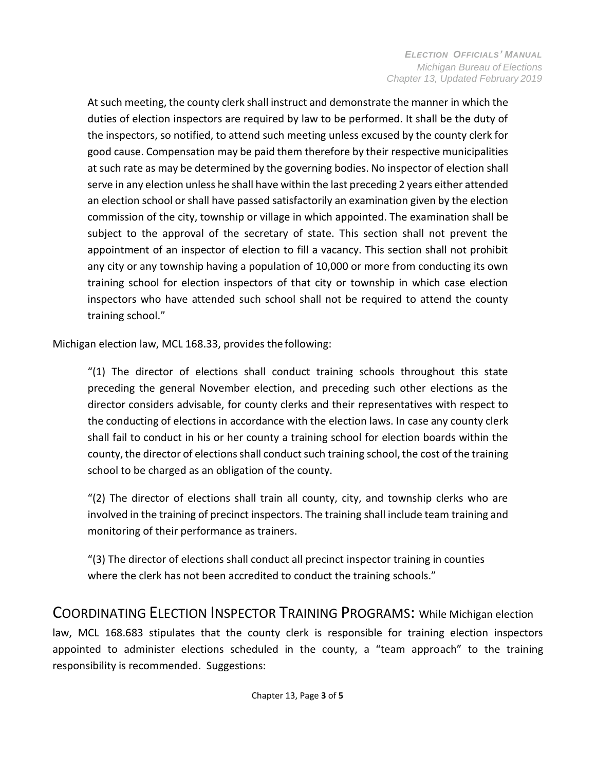At such meeting, the county clerk shall instruct and demonstrate the manner in which the duties of election inspectors are required by law to be performed. It shall be the duty of the inspectors, so notified, to attend such meeting unless excused by the county clerk for good cause. Compensation may be paid them therefore by their respective municipalities at such rate as may be determined by the governing bodies. No inspector of election shall serve in any election unless he shall have within the last preceding 2 years either attended an election school or shall have passed satisfactorily an examination given by the election commission of the city, township or village in which appointed. The examination shall be subject to the approval of the secretary of state. This section shall not prevent the appointment of an inspector of election to fill a vacancy. This section shall not prohibit any city or any township having a population of 10,000 or more from conducting its own training school for election inspectors of that city or township in which case election inspectors who have attended such school shall not be required to attend the county training school."

Michigan election law, MCL 168.33, provides the following:

"(1) The director of elections shall conduct training schools throughout this state preceding the general November election, and preceding such other elections as the director considers advisable, for county clerks and their representatives with respect to the conducting of elections in accordance with the election laws. In case any county clerk shall fail to conduct in his or her county a training school for election boards within the county, the director of elections shall conduct such training school, the cost of the training school to be charged as an obligation of the county.

 $(2)$  The director of elections shall train all county, city, and township clerks who are involved in the training of precinct inspectors. The training shall include team training and monitoring of their performance as trainers.

<span id="page-2-0"></span>"(3) The director of elections shall conduct all precinct inspector training in counties where the clerk has not been accredited to conduct the training schools."

COORDINATING ELECTION INSPECTOR TRAINING PROGRAMS: While Michigan election

law, MCL 168.683 stipulates that the county clerk is responsible for training election inspectors appointed to administer elections scheduled in the county, a "team approach" to the training responsibility is recommended. Suggestions: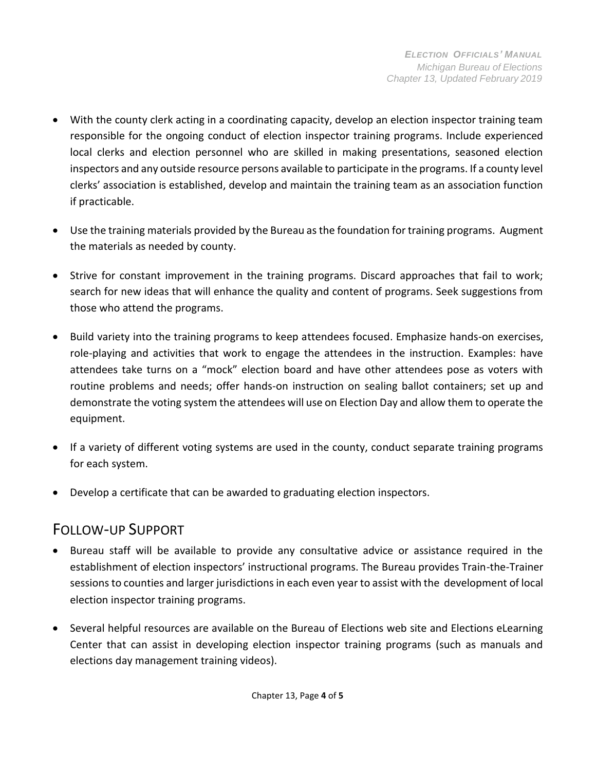- With the county clerk acting in a coordinating capacity, develop an election inspector training team responsible for the ongoing conduct of election inspector training programs. Include experienced local clerks and election personnel who are skilled in making presentations, seasoned election inspectors and any outside resource persons available to participate in the programs. If a county level clerks' association is established, develop and maintain the training team as an association function if practicable.
- Use the training materials provided by the Bureau asthe foundation for training programs. Augment the materials as needed by county.
- Strive for constant improvement in the training programs. Discard approaches that fail to work; search for new ideas that will enhance the quality and content of programs. Seek suggestions from those who attend the programs.
- Build variety into the training programs to keep attendees focused. Emphasize hands-on exercises, role-playing and activities that work to engage the attendees in the instruction. Examples: have attendees take turns on a "mock" election board and have other attendees pose as voters with routine problems and needs; offer hands-on instruction on sealing ballot containers; set up and demonstrate the voting system the attendees will use on Election Day and allow them to operate the equipment.
- If a variety of different voting systems are used in the county, conduct separate training programs for each system.
- Develop a certificate that can be awarded to graduating election inspectors.

### <span id="page-3-0"></span>FOLLOW-UP SUPPORT

- Bureau staff will be available to provide any consultative advice or assistance required in the establishment of election inspectors' instructional programs. The Bureau provides Train-the-Trainer sessions to counties and larger jurisdictions in each even year to assist with the development of local election inspector training programs.
- Several helpful resources are available on the Bureau of Elections web site and Elections eLearning Center that can assist in developing election inspector training programs (such as manuals and elections day management training videos).